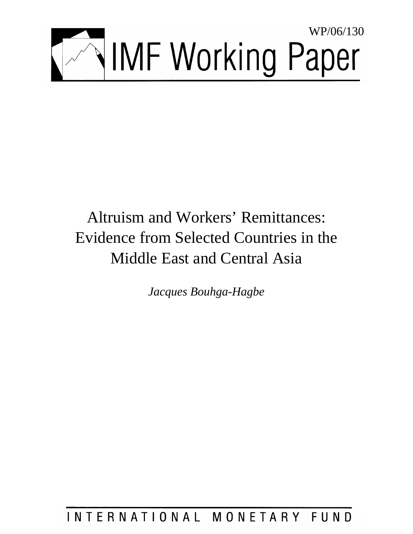

# Altruism and Workers' Remittances: Evidence from Selected Countries in the Middle East and Central Asia

*Jacques Bouhga-Hagbe* 

## INTERNATIONAL MONETARY FUND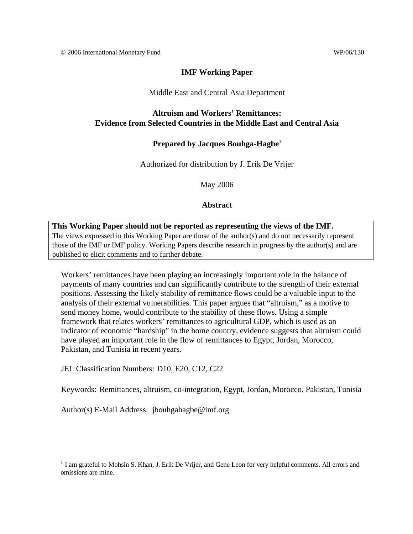### **IMF Working Paper**

### Middle East and Central Asia Department

### **Altruism and Workers' Remittances: Evidence from Selected Countries in the Middle East and Central Asia**

### **Prepared by Jacques Bouhga-Hagbe1**

Authorized for distribution by J. Erik De Vrijer

May 2006

**Abstract**

### **This Working Paper should not be reported as representing the views of the IMF.**

The views expressed in this Working Paper are those of the author(s) and do not necessarily represent those of the IMF or IMF policy. Working Papers describe research in progress by the author(s) and are published to elicit comments and to further debate.

Workers' remittances have been playing an increasingly important role in the balance of payments of many countries and can significantly contribute to the strength of their external positions. Assessing the likely stability of remittance flows could be a valuable input to the analysis of their external vulnerabilities. This paper argues that "altruism," as a motive to send money home, would contribute to the stability of these flows. Using a simple framework that relates workers' remittances to agricultural GDP, which is used as an indicator of economic "hardship" in the home country, evidence suggests that altruism could have played an important role in the flow of remittances to Egypt, Jordan, Morocco, Pakistan, and Tunisia in recent years.

JEL Classification Numbers: D10, E20, C12, C22

Keywords: Remittances, altruism, co-integration, Egypt, Jordan, Morocco, Pakistan, Tunisia

Author(s) E-Mail Address: jbouhgahagbe@imf.org

 $\overline{a}$ 

<sup>&</sup>lt;sup>1</sup> I am grateful to Mohsin S. Khan, J. Erik De Vrijer, and Gene Leon for very helpful comments. All errors and omissions are mine.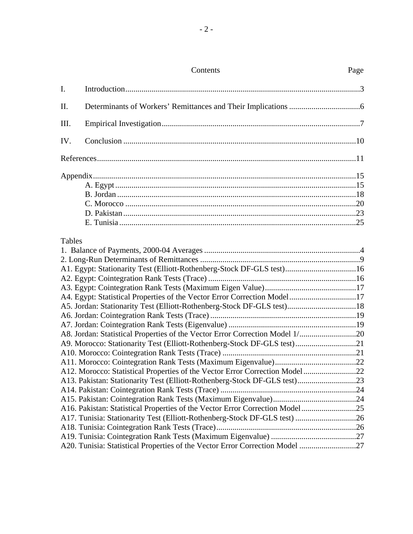|               | Contents                                                                     | Page |
|---------------|------------------------------------------------------------------------------|------|
| I.            |                                                                              |      |
| II.           |                                                                              |      |
| Ш.            |                                                                              |      |
| IV.           |                                                                              |      |
|               |                                                                              |      |
|               |                                                                              |      |
| <b>Tables</b> |                                                                              |      |
|               | A1. Egypt: Stationarity Test (Elliott-Rothenberg-Stock DF-GLS test)16        |      |
|               |                                                                              |      |
|               |                                                                              |      |
|               | A4. Egypt: Statistical Properties of the Vector Error Correction Model17     |      |
|               | A5. Jordan: Stationarity Test (Elliott-Rothenberg-Stock DF-GLS test)18       |      |
|               |                                                                              |      |
|               |                                                                              |      |
|               | A8. Jordan: Statistical Properties of the Vector Error Correction Model 1/20 |      |
|               | A9. Morocco: Stationarity Test (Elliott-Rothenberg-Stock DF-GLS test)21      |      |
|               |                                                                              |      |
|               |                                                                              |      |
|               | A12. Morocco: Statistical Properties of the Vector Error Correction Model22  |      |
|               | A13. Pakistan: Stationarity Test (Elliott-Rothenberg-Stock DF-GLS test)23    |      |
|               |                                                                              |      |
|               | A16. Pakistan: Statistical Properties of the Vector Error Correction Model25 |      |
|               | A17. Tunisia: Stationarity Test (Elliott-Rothenberg-Stock DF-GLS test) 26    |      |
|               |                                                                              |      |
|               |                                                                              |      |
|               | A20. Tunisia: Statistical Properties of the Vector Error Correction Model 27 |      |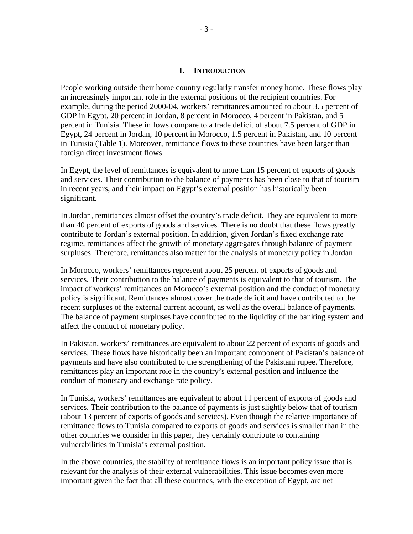### **I. INTRODUCTION**

People working outside their home country regularly transfer money home. These flows play an increasingly important role in the external positions of the recipient countries. For example, during the period 2000-04, workers' remittances amounted to about 3.5 percent of GDP in Egypt, 20 percent in Jordan, 8 percent in Morocco, 4 percent in Pakistan, and 5 percent in Tunisia. These inflows compare to a trade deficit of about 7.5 percent of GDP in Egypt, 24 percent in Jordan, 10 percent in Morocco, 1.5 percent in Pakistan, and 10 percent in Tunisia (Table 1). Moreover, remittance flows to these countries have been larger than foreign direct investment flows.

In Egypt, the level of remittances is equivalent to more than 15 percent of exports of goods and services. Their contribution to the balance of payments has been close to that of tourism in recent years, and their impact on Egypt's external position has historically been significant.

In Jordan, remittances almost offset the country's trade deficit. They are equivalent to more than 40 percent of exports of goods and services. There is no doubt that these flows greatly contribute to Jordan's external position. In addition, given Jordan's fixed exchange rate regime, remittances affect the growth of monetary aggregates through balance of payment surpluses. Therefore, remittances also matter for the analysis of monetary policy in Jordan.

In Morocco, workers' remittances represent about 25 percent of exports of goods and services. Their contribution to the balance of payments is equivalent to that of tourism. The impact of workers' remittances on Morocco's external position and the conduct of monetary policy is significant. Remittances almost cover the trade deficit and have contributed to the recent surpluses of the external current account, as well as the overall balance of payments. The balance of payment surpluses have contributed to the liquidity of the banking system and affect the conduct of monetary policy.

In Pakistan, workers' remittances are equivalent to about 22 percent of exports of goods and services. These flows have historically been an important component of Pakistan's balance of payments and have also contributed to the strengthening of the Pakistani rupee. Therefore, remittances play an important role in the country's external position and influence the conduct of monetary and exchange rate policy.

In Tunisia, workers' remittances are equivalent to about 11 percent of exports of goods and services. Their contribution to the balance of payments is just slightly below that of tourism (about 13 percent of exports of goods and services). Even though the relative importance of remittance flows to Tunisia compared to exports of goods and services is smaller than in the other countries we consider in this paper, they certainly contribute to containing vulnerabilities in Tunisia's external position.

In the above countries, the stability of remittance flows is an important policy issue that is relevant for the analysis of their external vulnerabilities. This issue becomes even more important given the fact that all these countries, with the exception of Egypt, are net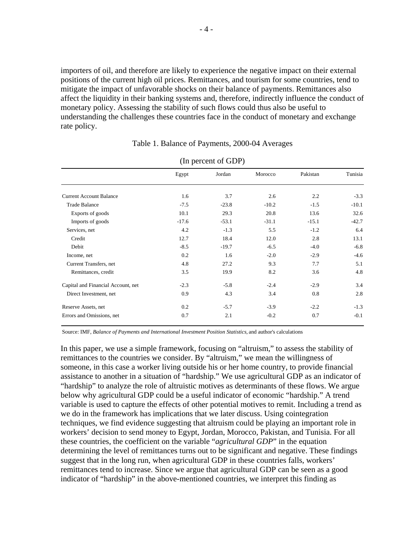importers of oil, and therefore are likely to experience the negative impact on their external positions of the current high oil prices. Remittances, and tourism for some countries, tend to mitigate the impact of unfavorable shocks on their balance of payments. Remittances also affect the liquidity in their banking systems and, therefore, indirectly influence the conduct of monetary policy. Assessing the stability of such flows could thus also be useful to understanding the challenges these countries face in the conduct of monetary and exchange rate policy.

| (III PULCIII UI UDT)               |         |         |         |          |         |  |  |  |  |
|------------------------------------|---------|---------|---------|----------|---------|--|--|--|--|
|                                    | Egypt   | Jordan  | Morocco | Pakistan | Tunisia |  |  |  |  |
| <b>Current Account Balance</b>     | 1.6     | 3.7     | 2.6     | 2.2      | $-3.3$  |  |  |  |  |
| <b>Trade Balance</b>               | $-7.5$  | $-23.8$ | $-10.2$ | $-1.5$   | $-10.1$ |  |  |  |  |
| Exports of goods                   | 10.1    | 29.3    | 20.8    | 13.6     | 32.6    |  |  |  |  |
| Imports of goods                   | $-17.6$ | $-53.1$ | $-31.1$ | $-15.1$  | $-42.7$ |  |  |  |  |
| Services, net                      | 4.2     | $-1.3$  | 5.5     | $-1.2$   | 6.4     |  |  |  |  |
| Credit                             | 12.7    | 18.4    | 12.0    | 2.8      | 13.1    |  |  |  |  |
| Debit                              | $-8.5$  | $-19.7$ | $-6.5$  | $-4.0$   | $-6.8$  |  |  |  |  |
| Income, net                        | 0.2     | 1.6     | $-2.0$  | $-2.9$   | $-4.6$  |  |  |  |  |
| Current Transfers, net             | 4.8     | 27.2    | 9.3     | 7.7      | 5.1     |  |  |  |  |
| Remittances, credit                | 3.5     | 19.9    | 8.2     | 3.6      | 4.8     |  |  |  |  |
| Capital and Financial Account, net | $-2.3$  | $-5.8$  | $-2.4$  | $-2.9$   | 3.4     |  |  |  |  |
| Direct Investment, net             | 0.9     | 4.3     | 3.4     | 0.8      | 2.8     |  |  |  |  |
| Reserve Assets, net                | 0.2     | $-5.7$  | $-3.9$  | $-2.2$   | $-1.3$  |  |  |  |  |
| Errors and Omissions, net          | 0.7     | 2.1     | $-0.2$  | 0.7      | $-0.1$  |  |  |  |  |

Table 1. Balance of Payments, 2000-04 Averages

 $(In present of CDD)$ 

Source: IMF, *Balance of Payments and International Investment Position Statistics,* and author's calculations

In this paper, we use a simple framework, focusing on "altruism," to assess the stability of remittances to the countries we consider. By "altruism," we mean the willingness of someone, in this case a worker living outside his or her home country, to provide financial assistance to another in a situation of "hardship." We use agricultural GDP as an indicator of "hardship" to analyze the role of altruistic motives as determinants of these flows. We argue below why agricultural GDP could be a useful indicator of economic "hardship." A trend variable is used to capture the effects of other potential motives to remit. Including a trend as we do in the framework has implications that we later discuss. Using cointegration techniques, we find evidence suggesting that altruism could be playing an important role in workers' decision to send money to Egypt, Jordan, Morocco, Pakistan, and Tunisia. For all these countries, the coefficient on the variable "*agricultural GDP*" in the equation determining the level of remittances turns out to be significant and negative. These findings suggest that in the long run, when agricultural GDP in these countries falls, workers' remittances tend to increase. Since we argue that agricultural GDP can be seen as a good indicator of "hardship" in the above-mentioned countries, we interpret this finding as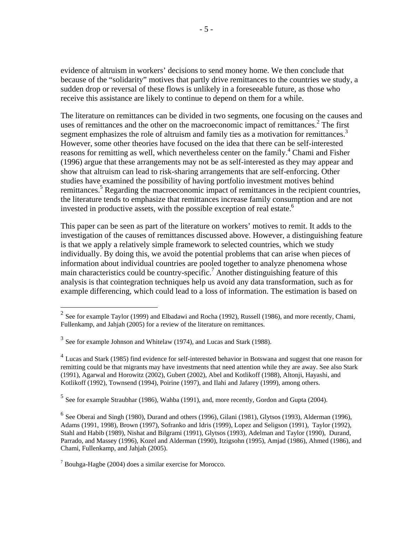evidence of altruism in workers' decisions to send money home. We then conclude that because of the "solidarity" motives that partly drive remittances to the countries we study, a sudden drop or reversal of these flows is unlikely in a foreseeable future, as those who receive this assistance are likely to continue to depend on them for a while.

The literature on remittances can be divided in two segments, one focusing on the causes and uses of remittances and the other on the macroeconomic impact of remittances. $2$  The first segment emphasizes the role of altruism and family ties as a motivation for remittances.<sup>3</sup> However, some other theories have focused on the idea that there can be self-interested reasons for remitting as well, which nevertheless center on the family.<sup>4</sup> Chami and Fisher (1996) argue that these arrangements may not be as self-interested as they may appear and show that altruism can lead to risk-sharing arrangements that are self-enforcing. Other studies have examined the possibility of having portfolio investment motives behind remittances.<sup>5</sup> Regarding the macroeconomic impact of remittances in the recipient countries, the literature tends to emphasize that remittances increase family consumption and are not invested in productive assets, with the possible exception of real estate.<sup>6</sup>

This paper can be seen as part of the literature on workers' motives to remit. It adds to the investigation of the causes of remittances discussed above. However, a distinguishing feature is that we apply a relatively simple framework to selected countries, which we study individually. By doing this, we avoid the potential problems that can arise when pieces of information about individual countries are pooled together to analyze phenomena whose main characteristics could be country-specific.<sup>7</sup> Another distinguishing feature of this analysis is that cointegration techniques help us avoid any data transformation, such as for example differencing, which could lead to a loss of information. The estimation is based on

 $\overline{a}$ 

 $5$  See for example Straubhar (1986), Wahba (1991), and, more recently, Gordon and Gupta (2004).

<sup>&</sup>lt;sup>2</sup> See for example Taylor (1999) and Elbadawi and Rocha (1992), Russell (1986), and more recently, Chami, Fullenkamp, and Jahjah (2005) for a review of the literature on remittances.

 $3$  See for example Johnson and Whitelaw (1974), and Lucas and Stark (1988).

 $^4$  Lucas and Stark (1985) find evidence for self-interested behavior in Botswana and suggest that one reason for remitting could be that migrants may have investments that need attention while they are away. See also Stark (1991), Agarwal and Horowitz (2002), Gubert (2002), Abel and Kotlikoff (1988), Altonji, Hayashi, and Kotlikoff (1992), Townsend (1994), Poirine (1997), and Ilahi and Jafarey (1999), among others.

 $<sup>6</sup>$  See Oberai and Singh (1980), Durand and others (1996), Gilani (1981), Glytsos (1993), Alderman (1996),</sup> Adams (1991, 1998), Brown (1997), Sofranko and Idris (1999), Lopez and Seligson (1991), Taylor (1992), Stahl and Habib (1989), Nishat and Bilgrami (1991), Glytsos (1993), Adelman and Taylor (1990), Durand, Parrado, and Massey (1996), Kozel and Alderman (1990), Itzigsohn (1995), Amjad (1986), Ahmed (1986), and Chami, Fullenkamp, and Jahjah (2005).

<sup>7</sup> Bouhga-Hagbe (2004) does a similar exercise for Morocco.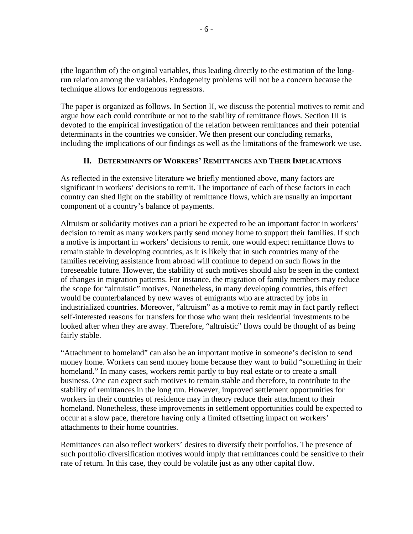(the logarithm of) the original variables, thus leading directly to the estimation of the longrun relation among the variables. Endogeneity problems will not be a concern because the technique allows for endogenous regressors.

The paper is organized as follows. In Section II, we discuss the potential motives to remit and argue how each could contribute or not to the stability of remittance flows. Section III is devoted to the empirical investigation of the relation between remittances and their potential determinants in the countries we consider. We then present our concluding remarks, including the implications of our findings as well as the limitations of the framework we use.

### **II. DETERMINANTS OF WORKERS' REMITTANCES AND THEIR IMPLICATIONS**

As reflected in the extensive literature we briefly mentioned above, many factors are significant in workers' decisions to remit. The importance of each of these factors in each country can shed light on the stability of remittance flows, which are usually an important component of a country's balance of payments.

Altruism or solidarity motives can a priori be expected to be an important factor in workers' decision to remit as many workers partly send money home to support their families. If such a motive is important in workers' decisions to remit, one would expect remittance flows to remain stable in developing countries, as it is likely that in such countries many of the families receiving assistance from abroad will continue to depend on such flows in the foreseeable future. However, the stability of such motives should also be seen in the context of changes in migration patterns. For instance, the migration of family members may reduce the scope for "altruistic" motives. Nonetheless, in many developing countries, this effect would be counterbalanced by new waves of emigrants who are attracted by jobs in industrialized countries. Moreover, "altruism" as a motive to remit may in fact partly reflect self-interested reasons for transfers for those who want their residential investments to be looked after when they are away. Therefore, "altruistic" flows could be thought of as being fairly stable.

"Attachment to homeland" can also be an important motive in someone's decision to send money home. Workers can send money home because they want to build "something in their homeland." In many cases, workers remit partly to buy real estate or to create a small business. One can expect such motives to remain stable and therefore, to contribute to the stability of remittances in the long run. However, improved settlement opportunities for workers in their countries of residence may in theory reduce their attachment to their homeland. Nonetheless, these improvements in settlement opportunities could be expected to occur at a slow pace, therefore having only a limited offsetting impact on workers' attachments to their home countries.

Remittances can also reflect workers' desires to diversify their portfolios. The presence of such portfolio diversification motives would imply that remittances could be sensitive to their rate of return. In this case, they could be volatile just as any other capital flow.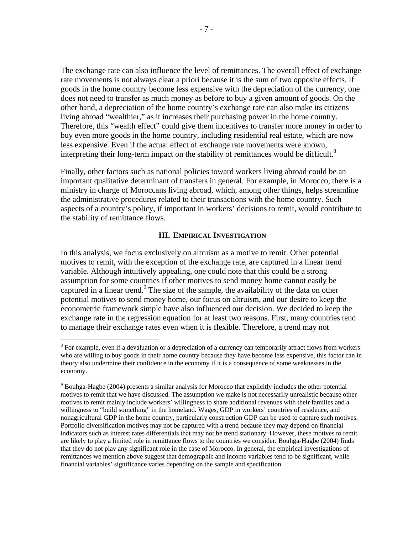The exchange rate can also influence the level of remittances. The overall effect of exchange rate movements is not always clear a priori because it is the sum of two opposite effects. If goods in the home country become less expensive with the depreciation of the currency, one does not need to transfer as much money as before to buy a given amount of goods. On the other hand, a depreciation of the home country's exchange rate can also make its citizens living abroad "wealthier," as it increases their purchasing power in the home country. Therefore, this "wealth effect" could give them incentives to transfer more money in order to buy even more goods in the home country, including residential real estate, which are now less expensive. Even if the actual effect of exchange rate movements were known, interpreting their long-term impact on the stability of remittances would be difficult.<sup>8</sup>

Finally, other factors such as national policies toward workers living abroad could be an important qualitative determinant of transfers in general. For example, in Morocco, there is a ministry in charge of Moroccans living abroad, which, among other things, helps streamline the administrative procedures related to their transactions with the home country. Such aspects of a country's policy, if important in workers' decisions to remit, would contribute to the stability of remittance flows.

### **III. EMPIRICAL INVESTIGATION**

In this analysis, we focus exclusively on altruism as a motive to remit. Other potential motives to remit, with the exception of the exchange rate, are captured in a linear trend variable. Although intuitively appealing, one could note that this could be a strong assumption for some countries if other motives to send money home cannot easily be captured in a linear trend.<sup>9</sup> The size of the sample, the availability of the data on other potential motives to send money home, our focus on altruism, and our desire to keep the econometric framework simple have also influenced our decision. We decided to keep the exchange rate in the regression equation for at least two reasons. First, many countries tend to manage their exchange rates even when it is flexible. Therefore, a trend may not

<u>.</u>

 $8$  For example, even if a devaluation or a depreciation of a currency can temporarily attract flows from workers who are willing to buy goods in their home country because they have become less expensive, this factor can in theory also undermine their confidence in the economy if it is a consequence of some weaknesses in the economy.

 $9^9$  Bouhga-Hagbe (2004) presents a similar analysis for Morocco that explicitly includes the other potential motives to remit that we have discussed. The assumption we make is not necessarily unrealistic because other motives to remit mainly include workers' willingness to share additional revenues with their families and a willingness to "build something" in the homeland. Wages, GDP in workers' countries of residence, and nonagricultural GDP in the home country, particularly construction GDP can be used to capture such motives. Portfolio diversification motives may not be captured with a trend because they may depend on financial indicators such as interest rates differentials that may not be trend stationary. However, these motives to remit are likely to play a limited role in remittance flows to the countries we consider. Bouhga-Hagbe (2004) finds that they do not play any significant role in the case of Morocco. In general, the empirical investigations of remittances we mention above suggest that demographic and income variables tend to be significant, while financial variables' significance varies depending on the sample and specification.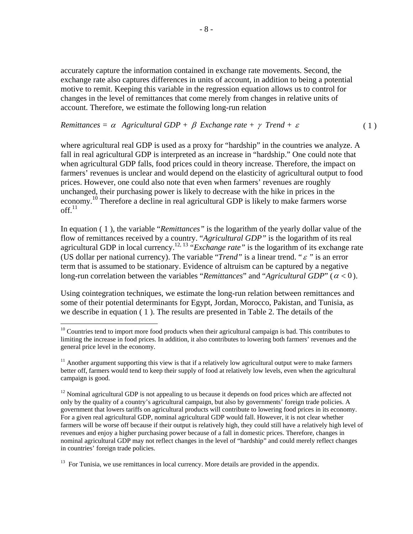accurately capture the information contained in exchange rate movements. Second, the exchange rate also captures differences in units of account, in addition to being a potential motive to remit. Keeping this variable in the regression equation allows us to control for changes in the level of remittances that come merely from changes in relative units of account. Therefore, we estimate the following long-run relation

### *Remittances =*  $\alpha$  *Agricultural GDP +*  $\beta$  *Exchange rate +*  $\gamma$  *Trend +*  $\varepsilon$  *(1)*

where agricultural real GDP is used as a proxy for "hardship" in the countries we analyze. A fall in real agricultural GDP is interpreted as an increase in "hardship." One could note that when agricultural GDP falls, food prices could in theory increase. Therefore, the impact on farmers' revenues is unclear and would depend on the elasticity of agricultural output to food prices. However, one could also note that even when farmers' revenues are roughly unchanged, their purchasing power is likely to decrease with the hike in prices in the economy.10 Therefore a decline in real agricultural GDP is likely to make farmers worse  $\sim$ ff $11$ 

In equation ( 1 ), the variable "*Remittances"* is the logarithm of the yearly dollar value of the flow of remittances received by a country. "*Agricultural GDP"* is the logarithm of its real agricultural GDP in local currency.<sup>12, 13</sup> "*Exchange rate*" is the logarithm of its exchange rate (US dollar per national currency). The variable "*Trend"* is a linear trend. "<sup>ε</sup> *"* is an error term that is assumed to be stationary. Evidence of altruism can be captured by a negative long-run correlation between the variables "*Remittances*" and "*Agricultural GDP*" ( $\alpha$  < 0).

Using cointegration techniques, we estimate the long-run relation between remittances and some of their potential determinants for Egypt, Jordan, Morocco, Pakistan, and Tunisia, as we describe in equation ( 1 ). The results are presented in Table 2. The details of the

<u>.</u>

 $10$  Countries tend to import more food products when their agricultural campaign is bad. This contributes to limiting the increase in food prices. In addition, it also contributes to lowering both farmers' revenues and the general price level in the economy.

 $11$  Another argument supporting this view is that if a relatively low agricultural output were to make farmers better off, farmers would tend to keep their supply of food at relatively low levels, even when the agricultural campaign is good.

 $12$  Nominal agricultural GDP is not appealing to us because it depends on food prices which are affected not only by the quality of a country's agricultural campaign, but also by governments' foreign trade policies. A government that lowers tariffs on agricultural products will contribute to lowering food prices in its economy. For a given real agricultural GDP, nominal agricultural GDP would fall. However, it is not clear whether farmers will be worse off because if their output is relatively high, they could still have a relatively high level of revenues and enjoy a higher purchasing power because of a fall in domestic prices. Therefore, changes in nominal agricultural GDP may not reflect changes in the level of "hardship" and could merely reflect changes in countries' foreign trade policies.

 $13$  For Tunisia, we use remittances in local currency. More details are provided in the appendix.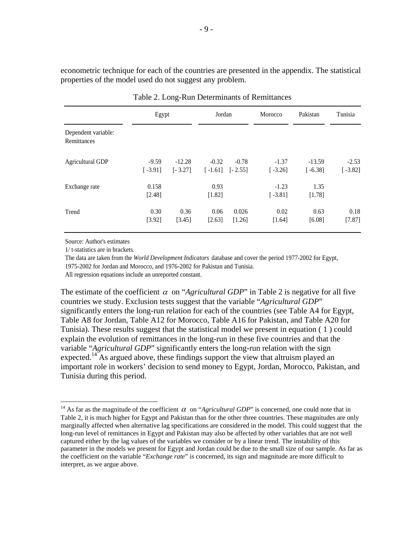econometric technique for each of the countries are presented in the appendix. The statistical properties of the model used do not suggest any problem.

|                                    | Egypt                |                       | Jordan               |                      | Morocco              | Pakistan              | Tunisia              |
|------------------------------------|----------------------|-----------------------|----------------------|----------------------|----------------------|-----------------------|----------------------|
| Dependent variable:<br>Remittances |                      |                       |                      |                      |                      |                       |                      |
| <b>Agricultural GDP</b>            | $-9.59$<br>$[-3.91]$ | $-12.28$<br>$[-3.27]$ | $-0.32$<br>$[-1.61]$ | $-0.78$<br>$[-2.55]$ | $-1.37$<br>$[-3.26]$ | $-13.59$<br>$[-6.38]$ | $-2.53$<br>$[-3.82]$ |
| Exchange rate                      | 0.158<br>[2.48]      |                       | 0.93<br>[1.82]       |                      | $-1.23$<br>$[-3.81]$ | 1.35<br>[1.78]        |                      |
| Trend                              | 0.30<br>[3.92]       | 0.36<br>[3.45]        | 0.06<br>[2.63]       | 0.026<br>[1.26]      | 0.02<br>[1.64]       | 0.63<br>[6.08]        | 0.18<br>[7.87]       |

Table 2. Long-Run Determinants of Remittances

Source: Author's estimates

1/ t-statistics are in brackets.

1

The data are taken from the *World Development Indicators* database and cover the period 1977-2002 for Egypt,

1975-2002 for Jordan and Morocco, and 1976-2002 for Pakistan and Tunisia.

All regression equations include an unreported constant.

The estimate of the coefficient  $\alpha$  on "*Agricultural GDP*" in Table 2 is negative for all five countries we study. Exclusion tests suggest that the variable "*Agricultural GDP*" significantly enters the long-run relation for each of the countries (see Table A4 for Egypt, Table A8 for Jordan, Table A12 for Morocco, Table A16 for Pakistan, and Table A20 for Tunisia). These results suggest that the statistical model we present in equation ( 1 ) could explain the evolution of remittances in the long-run in these five countries and that the variable "*Agricultural GDP*" significantly enters the long-run relation with the sign expected.<sup>14</sup> As argued above, these findings support the view that altruism played an important role in workers' decision to send money to Egypt, Jordan, Morocco, Pakistan, and Tunisia during this period.

<sup>&</sup>lt;sup>14</sup> As far as the magnitude of the coefficient  $\alpha$  on "*Agricultural GDP*" is concerned, one could note that in Table 2, it is much higher for Egypt and Pakistan than for the other three countries. These magnitudes are only marginally affected when alternative lag specifications are considered in the model. This could suggest that the long-run level of remittances in Egypt and Pakistan may also be affected by other variables that are not well captured either by the lag values of the variables we consider or by a linear trend. The instability of this parameter in the models we present for Egypt and Jordan could be due to the small size of our sample. As far as the coefficient on the variable "*Exchange rate*" is concerned, its sign and magnitude are more difficult to interpret, as we argue above.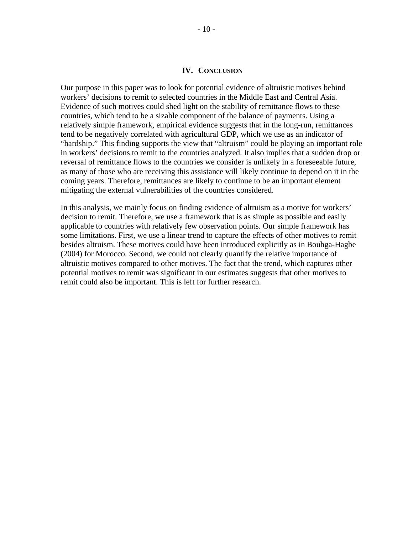#### **IV. CONCLUSION**

Our purpose in this paper was to look for potential evidence of altruistic motives behind workers' decisions to remit to selected countries in the Middle East and Central Asia. Evidence of such motives could shed light on the stability of remittance flows to these countries, which tend to be a sizable component of the balance of payments. Using a relatively simple framework, empirical evidence suggests that in the long-run, remittances tend to be negatively correlated with agricultural GDP, which we use as an indicator of "hardship." This finding supports the view that "altruism" could be playing an important role in workers' decisions to remit to the countries analyzed. It also implies that a sudden drop or reversal of remittance flows to the countries we consider is unlikely in a foreseeable future, as many of those who are receiving this assistance will likely continue to depend on it in the coming years. Therefore, remittances are likely to continue to be an important element mitigating the external vulnerabilities of the countries considered.

In this analysis, we mainly focus on finding evidence of altruism as a motive for workers' decision to remit. Therefore, we use a framework that is as simple as possible and easily applicable to countries with relatively few observation points. Our simple framework has some limitations. First, we use a linear trend to capture the effects of other motives to remit besides altruism. These motives could have been introduced explicitly as in Bouhga-Hagbe (2004) for Morocco. Second, we could not clearly quantify the relative importance of altruistic motives compared to other motives. The fact that the trend, which captures other potential motives to remit was significant in our estimates suggests that other motives to remit could also be important. This is left for further research.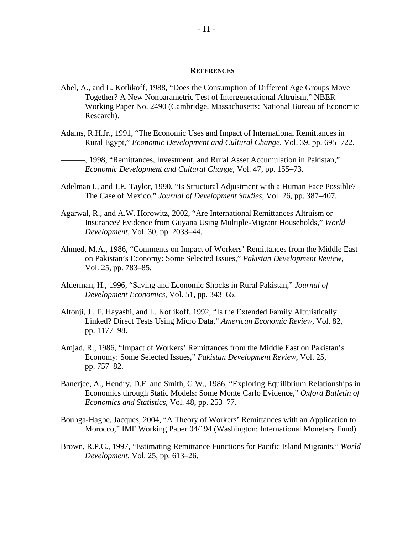#### **REFERENCES**

- Abel, A., and L. Kotlikoff, 1988, "Does the Consumption of Different Age Groups Move Together? A New Nonparametric Test of Intergenerational Altruism," NBER Working Paper No. 2490 (Cambridge, Massachusetts: National Bureau of Economic Research).
- Adams, R.H.Jr., 1991, "The Economic Uses and Impact of International Remittances in Rural Egypt," *Economic Development and Cultural Change*, Vol. 39, pp. 695–722.
- ———, 1998, "Remittances, Investment, and Rural Asset Accumulation in Pakistan," *Economic Development and Cultural Change*, Vol. 47, pp. 155–73.
- Adelman I., and J.E. Taylor, 1990, "Is Structural Adjustment with a Human Face Possible? The Case of Mexico," *Journal of Development Studies*, Vol. 26, pp. 387–407.
- Agarwal, R., and A.W. Horowitz, 2002, "Are International Remittances Altruism or Insurance? Evidence from Guyana Using Multiple-Migrant Households," *World Development*, Vol. 30, pp. 2033–44.
- Ahmed, M.A., 1986, "Comments on Impact of Workers' Remittances from the Middle East on Pakistan's Economy: Some Selected Issues," *Pakistan Development Review*, Vol. 25, pp. 783–85.
- Alderman, H., 1996, "Saving and Economic Shocks in Rural Pakistan," *Journal of Development Economics*, Vol. 51, pp. 343–65.
- Altonii, J., F. Hayashi, and L. Kotlikoff, 1992, "Is the Extended Family Altruistically Linked? Direct Tests Using Micro Data," *American Economic Review*, Vol. 82, pp. 1177–98.
- Amjad, R., 1986, "Impact of Workers' Remittances from the Middle East on Pakistan's Economy: Some Selected Issues," *Pakistan Development Review*, Vol. 25, pp. 757–82.
- Banerjee, A., Hendry, D.F. and Smith, G.W., 1986, "Exploring Equilibrium Relationships in Economics through Static Models: Some Monte Carlo Evidence," *Oxford Bulletin of Economics and Statistics*, Vol. 48, pp. 253–77.
- Bouhga-Hagbe, Jacques, 2004, "A Theory of Workers' Remittances with an Application to Morocco," IMF Working Paper 04/194 (Washington: International Monetary Fund).
- Brown, R.P.C., 1997, "Estimating Remittance Functions for Pacific Island Migrants," *World Development*, Vol. 25, pp. 613–26.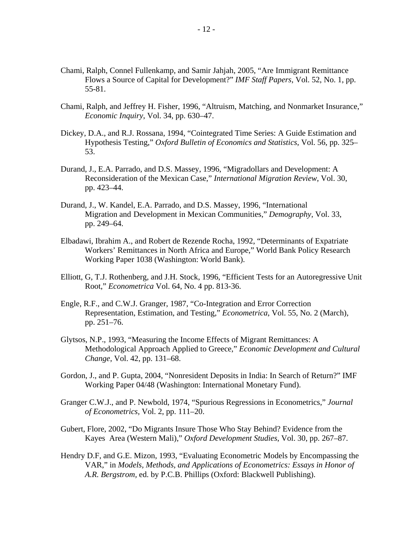- Chami, Ralph, Connel Fullenkamp, and Samir Jahjah, 2005, "Are Immigrant Remittance Flows a Source of Capital for Development?" *IMF Staff Papers*, Vol. 52, No. 1, pp. 55-81.
- Chami, Ralph, and Jeffrey H. Fisher, 1996, "Altruism, Matching, and Nonmarket Insurance," *Economic Inquiry*, Vol. 34, pp. 630–47.
- Dickey, D.A., and R.J. Rossana, 1994, "Cointegrated Time Series: A Guide Estimation and Hypothesis Testing," *Oxford Bulletin of Economics and Statistics*, Vol. 56, pp. 325– 53.
- Durand, J., E.A. Parrado, and D.S. Massey, 1996, "Migradollars and Development: A Reconsideration of the Mexican Case," *International Migration Review*, Vol. 30, pp. 423–44.
- Durand, J., W. Kandel, E.A. Parrado, and D.S. Massey, 1996, "International Migration and Development in Mexican Communities," *Demography*, Vol. 33, pp. 249–64.
- Elbadawi, Ibrahim A., and Robert de Rezende Rocha, 1992, "Determinants of Expatriate Workers' Remittances in North Africa and Europe," World Bank Policy Research Working Paper 1038 (Washington: World Bank).
- Elliott, G, T.J. Rothenberg, and J.H. Stock, 1996, "Efficient Tests for an Autoregressive Unit Root," *Econometrica* Vol. 64, No. 4 pp. 813-36.
- Engle, R.F., and C.W.J. Granger, 1987, "Co-Integration and Error Correction Representation, Estimation, and Testing," *Econometrica*, Vol. 55, No. 2 (March), pp. 251–76.
- Glytsos, N.P., 1993, "Measuring the Income Effects of Migrant Remittances: A Methodological Approach Applied to Greece," *Economic Development and Cultural Change*, Vol. 42, pp. 131–68.
- Gordon, J., and P. Gupta, 2004, "Nonresident Deposits in India: In Search of Return?" IMF Working Paper 04/48 (Washington: International Monetary Fund).
- Granger C.W.J., and P. Newbold, 1974, "Spurious Regressions in Econometrics," *Journal of Econometrics,* Vol. 2, pp. 111–20.
- Gubert, Flore, 2002, "Do Migrants Insure Those Who Stay Behind? Evidence from the Kayes Area (Western Mali)," *Oxford Development Studies*, Vol. 30, pp. 267–87.
- Hendry D.F, and G.E. Mizon, 1993, "Evaluating Econometric Models by Encompassing the VAR," in *Models, Methods, and Applications of Econometrics: Essays in Honor of A.R. Bergstrom,* ed. by P.C.B. Phillips (Oxford: Blackwell Publishing).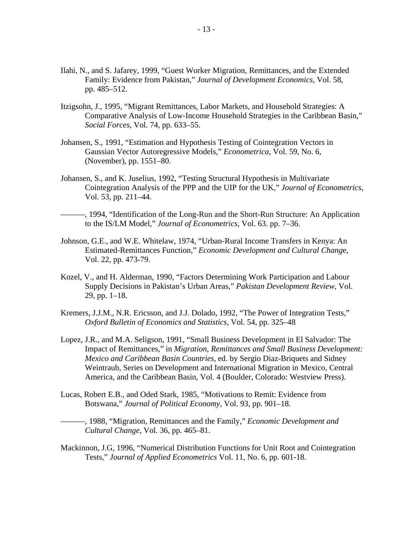- Ilahi, N., and S. Jafarey, 1999, "Guest Worker Migration, Remittances, and the Extended Family: Evidence from Pakistan," *Journal of Development Economics*, Vol. 58, pp. 485–512.
- Itzigsohn, J., 1995, "Migrant Remittances, Labor Markets, and Household Strategies: A Comparative Analysis of Low-Income Household Strategies in the Caribbean Basin," *Social Forces*, Vol. 74, pp. 633–55.
- Johansen, S., 1991, "Estimation and Hypothesis Testing of Cointegration Vectors in Gaussian Vector Autoregressive Models," *Econometrica*, Vol. 59, No. 6, (November), pp. 1551–80.
- Johansen, S., and K. Juselius, 1992, "Testing Structural Hypothesis in Multivariate Cointegration Analysis of the PPP and the UIP for the UK," *Journal of Econometrics,*  Vol. 53, pp. 211–44.
- ———, 1994, "Identification of the Long-Run and the Short-Run Structure: An Application to the IS/LM Model," *Journal of Econometrics,* Vol. 63. pp. 7–36.
- Johnson, G.E., and W.E. Whitelaw, 1974, "Urban-Rural Income Transfers in Kenya: An Estimated-Remittances Function," *Economic Development and Cultural Chang*e, Vol. 22, pp. 473-79.
- Kozel, V., and H. Alderman, 1990, "Factors Determining Work Participation and Labour Supply Decisions in Pakistan's Urban Areas," *Pakistan Development Review*, Vol. 29, pp. 1–18.
- Kremers, J.J.M., N.R. Ericsson, and J.J. Dolado, 1992, "The Power of Integration Tests," *Oxford Bulletin of Economics and Statistics*, Vol. 54, pp. 325–48
- Lopez, J.R., and M.A. Seligson, 1991, "Small Business Development in El Salvador: The Impact of Remittances," in *Migration, Remittances and Small Business Development: Mexico and Caribbean Basin Countries,* ed. by Sergio Diaz-Briquets and Sidney Weintraub, Series on Development and International Migration in Mexico, Central America, and the Caribbean Basin, Vol. 4 (Boulder, Colorado: Westview Press).
- Lucas, Robert E.B., and Oded Stark, 1985, "Motivations to Remit: Evidence from Botswana," *Journal of Political Economy,* Vol. 93, pp. 901–18.
	- ———, 1988, "Migration, Remittances and the Family," *Economic Development and Cultural Change,* Vol. 36, pp. 465–81.
- Mackinnon, J.G, 1996, "Numerical Distribution Functions for Unit Root and Cointegration Tests," *Journal of Applied Econometrics* Vol. 11, No. 6, pp. 601-18.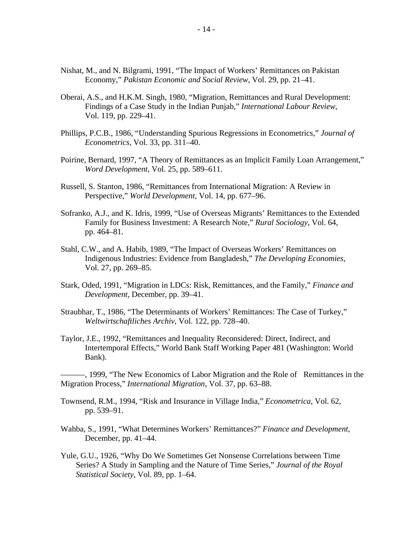- Nishat, M., and N. Bilgrami, 1991, "The Impact of Workers' Remittances on Pakistan Economy," *Pakistan Economic and Social Review*, Vol. 29, pp. 21–41.
- Oberai, A.S., and H.K.M. Singh, 1980, "Migration, Remittances and Rural Development: Findings of a Case Study in the Indian Punjab," *International Labour Review*, Vol. 119, pp. 229–41.
- Phillips, P.C.B., 1986, "Understanding Spurious Regressions in Econometrics," *Journal of Econometrics,* Vol. 33, pp. 311–40.
- Poirine, Bernard, 1997, "A Theory of Remittances as an Implicit Family Loan Arrangement," *Word Development*, Vol. 25, pp. 589–611.
- Russell, S. Stanton, 1986, "Remittances from International Migration: A Review in Perspective," *World Development*, Vol. 14, pp. 677–96.
- Sofranko, A.J., and K. Idris, 1999, "Use of Overseas Migrants' Remittances to the Extended Family for Business Investment: A Research Note," *Rural Sociology*, Vol. 64, pp. 464–81.
- Stahl, C.W., and A. Habib, 1989, "The Impact of Overseas Workers' Remittances on Indigenous Industries: Evidence from Bangladesh," *The Developing Economies*, Vol. 27, pp. 269–85.
- Stark, Oded, 1991, "Migration in LDCs: Risk, Remittances, and the Family," *Finance and Development*, December, pp. 39–41.
- Straubhar, T., 1986, "The Determinants of Workers' Remittances: The Case of Turkey," *Weltwirtschaftliches Archiv*, Vol. 122, pp. 728–40.
- Taylor, J.E., 1992, "Remittances and Inequality Reconsidered: Direct, Indirect, and Intertemporal Effects," World Bank Staff Working Paper 481 (Washington: World Bank).

———, 1999, "The New Economics of Labor Migration and the Role of Remittances in the Migration Process," *International Migration*, Vol. 37, pp. 63–88.

Townsend, R.M., 1994, "Risk and Insurance in Village India," *Econometrica*, Vol. 62, pp. 539–91.

- Wahba, S., 1991, "What Determines Workers' Remittances?" *Finance and Development*, December, pp. 41–44.
- Yule, G.U., 1926, "Why Do We Sometimes Get Nonsense Correlations between Time Series? A Study in Sampling and the Nature of Time Series," *Journal of the Royal Statistical Society,* Vol. 89, pp. 1–64.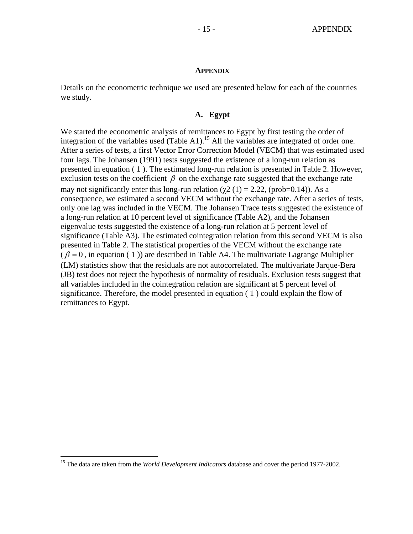#### **APPENDIX**

Details on the econometric technique we used are presented below for each of the countries we study.

### **A. Egypt**

We started the econometric analysis of remittances to Egypt by first testing the order of integration of the variables used (Table A1).<sup>15</sup> All the variables are integrated of order one. After a series of tests, a first Vector Error Correction Model (VECM) that was estimated used four lags. The Johansen (1991) tests suggested the existence of a long-run relation as presented in equation ( 1 ). The estimated long-run relation is presented in Table 2. However, exclusion tests on the coefficient  $\beta$  on the exchange rate suggested that the exchange rate may not significantly enter this long-run relation ( $\chi$ 2 (1) = 2.22, (prob=0.14)). As a consequence, we estimated a second VECM without the exchange rate. After a series of tests, only one lag was included in the VECM. The Johansen Trace tests suggested the existence of a long-run relation at 10 percent level of significance (Table A2), and the Johansen eigenvalue tests suggested the existence of a long-run relation at 5 percent level of significance (Table A3). The estimated cointegration relation from this second VECM is also presented in Table 2. The statistical properties of the VECM without the exchange rate  $(\beta = 0)$ , in equation (1)) are described in Table A4. The multivariate Lagrange Multiplier (LM) statistics show that the residuals are not autocorrelated. The multivariate Jarque-Bera (JB) test does not reject the hypothesis of normality of residuals. Exclusion tests suggest that all variables included in the cointegration relation are significant at 5 percent level of significance. Therefore, the model presented in equation ( 1 ) could explain the flow of remittances to Egypt.

1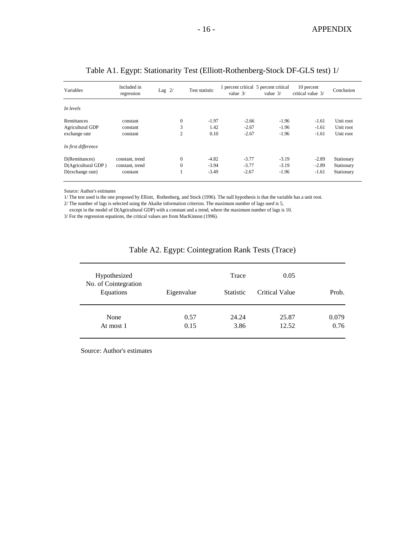| Variables               | Included in<br>regression | Lag $2/$       | Test statistic | 1 percent critical 5 percent critical<br>value $3/$ | value $3/$ | 10 percent<br>critical value 3/ | Conclusion |
|-------------------------|---------------------------|----------------|----------------|-----------------------------------------------------|------------|---------------------------------|------------|
| In levels               |                           |                |                |                                                     |            |                                 |            |
| Remittances             | constant                  | $\mathbf{0}$   | $-1.97$        | $-2.66$                                             | $-1.96$    | $-1.61$                         | Unit root  |
| <b>Agricultural GDP</b> | constant                  | 3              | 1.42           | $-2.67$                                             | $-1.96$    | $-1.61$                         | Unit root  |
| exchange rate           | constant                  | $\overline{c}$ | 0.10           | $-2.67$                                             | $-1.96$    | $-1.61$                         | Unit root  |
| In first difference     |                           |                |                |                                                     |            |                                 |            |
| D(Remittances)          | constant, trend           | $\Omega$       | $-4.82$        | $-3.77$                                             | $-3.19$    | $-2.89$                         | Stationary |
| D(Agricultural GDP)     | constant, trend           | $\theta$       | $-3.94$        | $-3.77$                                             | $-3.19$    | $-2.89$                         | Stationary |
| D(exchange rate)        | constant                  |                | $-3.49$        | $-2.67$                                             | $-1.96$    | $-1.61$                         | Stationary |

### Table A1. Egypt: Stationarity Test (Elliott-Rothenberg-Stock DF-GLS test) 1/

Source: Author's estimates

1/ The test used is the one proposed by Elliott, Rothenberg, and Stock (1996). The null hypothesis is that the variable has a unit root.

2/ The number of lags is selected using the Akaike information criterion. The maximum number of lags used is 5,

except in the model of D(Agricultural GDP) with a constant and a trend, where the maximum number of lags is 10.

3/ For the regression equations, the critical values are from MacKinnon (1996).

| Hypothesized                      |            | Trace            | 0.05           |       |
|-----------------------------------|------------|------------------|----------------|-------|
| No. of Cointegration<br>Equations | Eigenvalue | <b>Statistic</b> | Critical Value | Prob. |
| None                              | 0.57       | 24.24            | 25.87          | 0.079 |
| At most 1                         | 0.15       | 3.86             | 12.52          | 0.76  |

### Table A2. Egypt: Cointegration Rank Tests (Trace)

Source: Author's estimates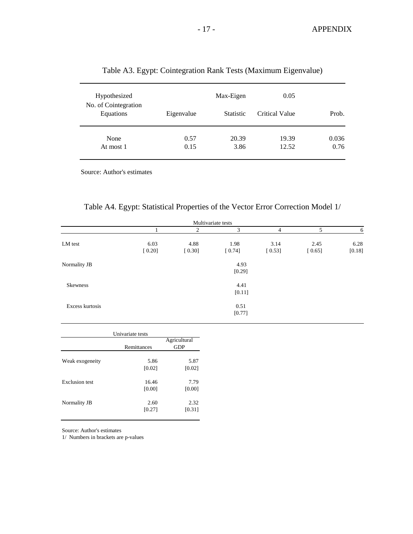| Hypothesized                      |            | Max-Eigen        | 0.05                  |       |
|-----------------------------------|------------|------------------|-----------------------|-------|
| No. of Cointegration<br>Equations | Eigenvalue | <b>Statistic</b> | <b>Critical Value</b> | Prob. |
| None                              | 0.57       | 20.39            | 19.39                 | 0.036 |
| At most 1                         | 0.15       | 3.86             | 12.52                 | 0.76  |

### Table A3. Egypt: Cointegration Rank Tests (Maximum Eigenvalue)

Source: Author's estimates

|  |  |  |  | Table A4. Egypt: Statistical Properties of the Vector Error Correction Model 1/ |  |  |
|--|--|--|--|---------------------------------------------------------------------------------|--|--|
|--|--|--|--|---------------------------------------------------------------------------------|--|--|

| Multivariate tests |                |                |                |                |                |                |  |
|--------------------|----------------|----------------|----------------|----------------|----------------|----------------|--|
|                    |                | 2              | 3              | 4              | 5              | 6              |  |
| LM test            | 6.03<br>[0.20] | 4.88<br>[0.30] | 1.98<br>[0.74] | 3.14<br>[0.53] | 2.45<br>[0.65] | 6.28<br>[0.18] |  |
| Normality JB       |                |                | 4.93<br>[0.29] |                |                |                |  |
| <b>Skewness</b>    |                |                | 4.41<br>[0.11] |                |                |                |  |
| Excess kurtosis    |                |                | 0.51<br>[0.77] |                |                |                |  |

|                       | Univariate tests |              |
|-----------------------|------------------|--------------|
|                       |                  | Agricultural |
|                       | Remittances      | <b>GDP</b>   |
|                       |                  |              |
| Weak exogeneity       | 5.86             | 5.87         |
|                       | [0.02]           | [0.02]       |
| <b>Exclusion test</b> | 16.46            | 7.79         |
|                       | [0.00]           | [0.00]       |
| Normality JB          | 2.60             | 2.32         |
|                       | [0.27]           | [0.31]       |
|                       |                  |              |

Source: Author's estimates

1/ Numbers in brackets are p-values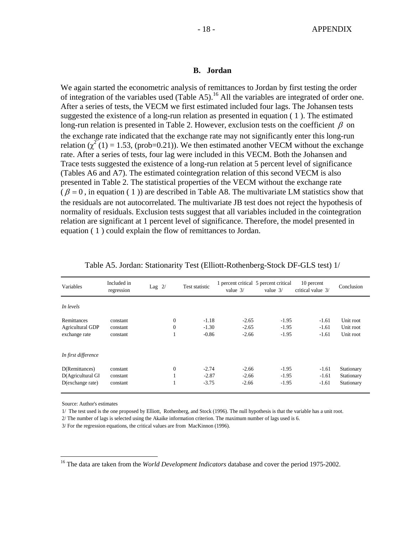#### **B. Jordan**

We again started the econometric analysis of remittances to Jordan by first testing the order of integration of the variables used (Table A5).<sup>16</sup> All the variables are integrated of order one. After a series of tests, the VECM we first estimated included four lags. The Johansen tests suggested the existence of a long-run relation as presented in equation ( 1 ). The estimated long-run relation is presented in Table 2. However, exclusion tests on the coefficient  $\beta$  on the exchange rate indicated that the exchange rate may not significantly enter this long-run relation  $\chi^2(1) = 1.53$ , (prob=0.21)). We then estimated another VECM without the exchange rate. After a series of tests, four lag were included in this VECM. Both the Johansen and Trace tests suggested the existence of a long-run relation at 5 percent level of significance (Tables A6 and A7). The estimated cointegration relation of this second VECM is also presented in Table 2. The statistical properties of the VECM without the exchange rate ( $\beta = 0$ , in equation (1)) are described in Table A8. The multivariate LM statistics show that the residuals are not autocorrelated. The multivariate JB test does not reject the hypothesis of normality of residuals. Exclusion tests suggest that all variables included in the cointegration relation are significant at 1 percent level of significance. Therefore, the model presented in equation ( 1 ) could explain the flow of remittances to Jordan.

| Variables           | Included in<br>regression | Lag $2/$ |              | Test statistic | value $3/$ | 1 percent critical 5 percent critical<br>value $3/$ | 10 percent<br>critical value 3/ | Conclusion |
|---------------------|---------------------------|----------|--------------|----------------|------------|-----------------------------------------------------|---------------------------------|------------|
| In levels           |                           |          |              |                |            |                                                     |                                 |            |
| Remittances         | constant                  |          | $\mathbf{0}$ | $-1.18$        | $-2.65$    | $-1.95$                                             | $-1.61$                         | Unit root  |
| Agricultural GDP    | constant                  |          | $\mathbf{0}$ | $-1.30$        | $-2.65$    | $-1.95$                                             | $-1.61$                         | Unit root  |
| exchange rate       | constant                  |          |              | $-0.86$        | $-2.66$    | $-1.95$                                             | $-1.61$                         | Unit root  |
| In first difference |                           |          |              |                |            |                                                     |                                 |            |
| D(Remittances)      | constant                  |          | $\mathbf{0}$ | $-2.74$        | $-2.66$    | $-1.95$                                             | $-1.61$                         | Stationary |
| D(Agricultural GI   | constant                  |          |              | $-2.87$        | $-2.66$    | $-1.95$                                             | $-1.61$                         | Stationary |
| $D(exchange\ rate)$ | constant                  |          |              | $-3.75$        | $-2.66$    | $-1.95$                                             | $-1.61$                         | Stationary |

|  | Table A5. Jordan: Stationarity Test (Elliott-Rothenberg-Stock DF-GLS test) 1/ |
|--|-------------------------------------------------------------------------------|
|  |                                                                               |

Source: Author's estimates

 $\overline{a}$ 

1/ The test used is the one proposed by Elliott, Rothenberg, and Stock (1996). The null hypothesis is that the variable has a unit root.

2/ The number of lags is selected using the Akaike information criterion. The maximum number of lags used is 6.

3/ For the regression equations, the critical values are from MacKinnon (1996).

<sup>16</sup> The data are taken from the *World Development Indicators* database and cover the period 1975-2002.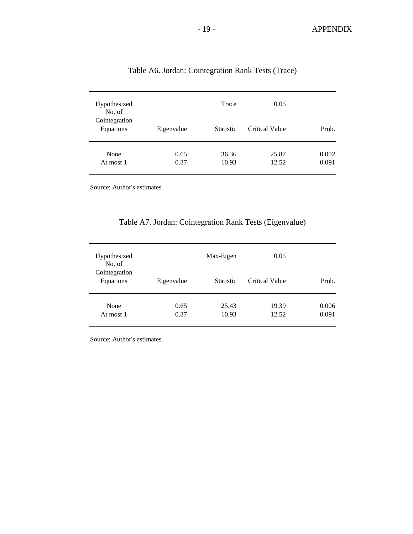| Hypothesized<br>No. of<br>Cointegration<br>Equations | Eigenvalue | Trace<br><b>Statistic</b> | 0.05<br>Critical Value | Prob. |
|------------------------------------------------------|------------|---------------------------|------------------------|-------|
| None                                                 | 0.65       | 36.36                     | 25.87                  | 0.002 |
| At most 1                                            | 0.37       | 10.93                     | 12.52                  | 0.091 |

### Table A6. Jordan: Cointegration Rank Tests (Trace)

Source: Author's estimates

### Table A7. Jordan: Cointegration Rank Tests (Eigenvalue)

| Hypothesized<br>No. of     |              | Max-Eigen        | 0.05           |                |
|----------------------------|--------------|------------------|----------------|----------------|
| Cointegration<br>Equations | Eigenvalue   | <b>Statistic</b> | Critical Value | Prob.          |
| None<br>At most 1          | 0.65<br>0.37 | 25.43<br>10.93   | 19.39<br>12.52 | 0.006<br>0.091 |

Source: Author's estimates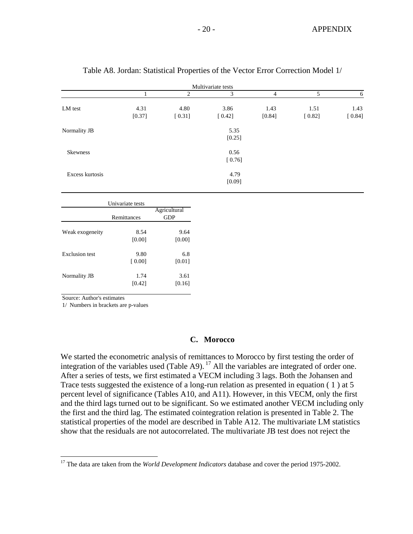| Multivariate tests    |                  |                     |                |                |                |                |  |
|-----------------------|------------------|---------------------|----------------|----------------|----------------|----------------|--|
|                       | 1                | $\overline{c}$      | 3              | $\overline{4}$ | 5              | $\sqrt{6}$     |  |
| LM test               | 4.31<br>[0.37]   | 4.80<br>[0.31]      | 3.86<br>[0.42] | 1.43<br>[0.84] | 1.51<br>[0.82] | 1.43<br>[0.84] |  |
| Normality JB          |                  |                     | 5.35<br>[0.25] |                |                |                |  |
| Skewness              |                  |                     | 0.56<br>[0.76] |                |                |                |  |
| Excess kurtosis       |                  |                     | 4.79<br>[0.09] |                |                |                |  |
|                       | Univariate tests |                     |                |                |                |                |  |
|                       | Remittances      | Agricultural<br>GDP |                |                |                |                |  |
| Weak exogeneity       | 8.54<br>[0.00]   | 9.64<br>[0.00]      |                |                |                |                |  |
| <b>Exclusion</b> test | 9.80<br>[0.00]   | 6.8<br>[0.01]       |                |                |                |                |  |
| Normality JB          | 1.74<br>[0.42]   | 3.61<br>[0.16]      |                |                |                |                |  |

#### Table A8. Jordan: Statistical Properties of the Vector Error Correction Model 1/

Source: Author's estimates

 $\overline{a}$ 

1/ Numbers in brackets are p-values

#### **C. Morocco**

We started the econometric analysis of remittances to Morocco by first testing the order of integration of the variables used (Table A9).<sup>17</sup> All the variables are integrated of order one. After a series of tests, we first estimated a VECM including 3 lags. Both the Johansen and Trace tests suggested the existence of a long-run relation as presented in equation ( 1 ) at 5 percent level of significance (Tables A10, and A11). However, in this VECM, only the first and the third lags turned out to be significant. So we estimated another VECM including only the first and the third lag. The estimated cointegration relation is presented in Table 2. The statistical properties of the model are described in Table A12. The multivariate LM statistics show that the residuals are not autocorrelated. The multivariate JB test does not reject the

<sup>&</sup>lt;sup>17</sup> The data are taken from the *World Development Indicators* database and cover the period 1975-2002.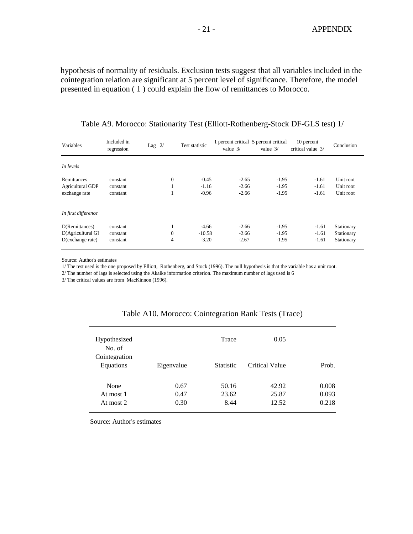hypothesis of normality of residuals. Exclusion tests suggest that all variables included in the cointegration relation are significant at 5 percent level of significance. Therefore, the model presented in equation ( 1 ) could explain the flow of remittances to Morocco.

| Variables           | Included in<br>regression | Lag $2/$     | Test statistic | 1 percent critical 5 percent critical<br>value $3/$ | value $3/$ | 10 percent<br>critical value 3/ | Conclusion |
|---------------------|---------------------------|--------------|----------------|-----------------------------------------------------|------------|---------------------------------|------------|
| In levels           |                           |              |                |                                                     |            |                                 |            |
| <b>Remittances</b>  | constant                  | $\mathbf{0}$ | $-0.45$        | $-2.65$                                             | $-1.95$    | $-1.61$                         | Unit root  |
| Agricultural GDP    | constant                  |              | $-1.16$        | $-2.66$                                             | $-1.95$    | $-1.61$                         | Unit root  |
| exchange rate       | constant                  |              | $-0.96$        | $-2.66$                                             | $-1.95$    | $-1.61$                         | Unit root  |
| In first difference |                           |              |                |                                                     |            |                                 |            |
| D(Remittances)      | constant                  | 1            | $-4.66$        | $-2.66$                                             | $-1.95$    | $-1.61$                         | Stationary |
| D(Agricultural GI   | constant                  | $\theta$     | $-10.58$       | $-2.66$                                             | $-1.95$    | $-1.61$                         | Stationary |
| D(exchange rate)    | constant                  | 4            | $-3.20$        | $-2.67$                                             | $-1.95$    | $-1.61$                         | Stationary |

Table A9. Morocco: Stationarity Test (Elliott-Rothenberg-Stock DF-GLS test) 1/

Source: Author's estimates

1/ The test used is the one proposed by Elliott, Rothenberg, and Stock (1996). The null hypothesis is that the variable has a unit root.

2/ The number of lags is selected using the Akaike information criterion. The maximum number of lags used is 6

3/ The critical values are from MacKinnon (1996).

| Hypothesized<br>No. of         |                      | Trace                  | 0.05                    |                         |
|--------------------------------|----------------------|------------------------|-------------------------|-------------------------|
| Cointegration<br>Equations     | Eigenvalue           | <b>Statistic</b>       | <b>Critical Value</b>   | Prob.                   |
| None<br>At most 1<br>At most 2 | 0.67<br>0.47<br>0.30 | 50.16<br>23.62<br>8.44 | 42.92<br>25.87<br>12.52 | 0.008<br>0.093<br>0.218 |

#### Table A10. Morocco: Cointegration Rank Tests (Trace)

Source: Author's estimates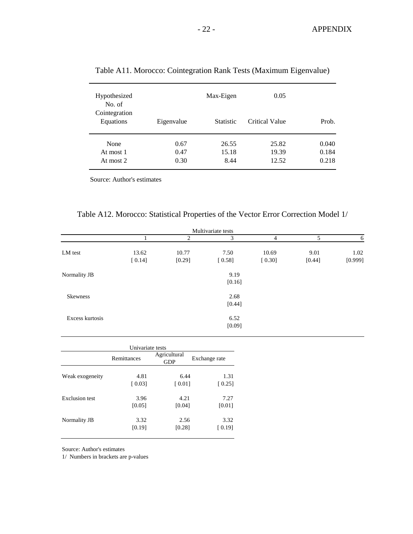| Hypothesized<br>No. of         |                      | Max-Eigen              | 0.05                    |                         |
|--------------------------------|----------------------|------------------------|-------------------------|-------------------------|
| Cointegration<br>Equations     | Eigenvalue           | <b>Statistic</b>       | <b>Critical Value</b>   | Prob.                   |
| None<br>At most 1<br>At most 2 | 0.67<br>0.47<br>0.30 | 26.55<br>15.18<br>8.44 | 25.82<br>19.39<br>12.52 | 0.040<br>0.184<br>0.218 |

### Table A11. Morocco: Cointegration Rank Tests (Maximum Eigenvalue)

Source: Author's estimates

| Multivariate tests |                 |                 |                |                 |                |                 |
|--------------------|-----------------|-----------------|----------------|-----------------|----------------|-----------------|
|                    |                 | 2               | 3              | 4               | 5              | 6               |
| LM test            | 13.62<br>[0.14] | 10.77<br>[0.29] | 7.50<br>[0.58] | 10.69<br>[0.30] | 9.01<br>[0.44] | 1.02<br>[0.999] |
| Normality JB       |                 | 9.19<br>[0.16]  |                |                 |                |                 |
| <b>Skewness</b>    |                 | 2.68<br>[0.44]  |                |                 |                |                 |
| Excess kurtosis    |                 |                 | 6.52<br>[0.09] |                 |                |                 |

| Univariate tests      |             |                            |               |  |  |  |
|-----------------------|-------------|----------------------------|---------------|--|--|--|
|                       | Remittances | Agricultural<br><b>GDP</b> | Exchange rate |  |  |  |
| Weak exogeneity       | 4.81        | 6.44                       | 1.31          |  |  |  |
|                       | [0.03]      | $\lceil 0.01 \rceil$       | [0.25]        |  |  |  |
| <b>Exclusion test</b> | 3.96        | 4.21                       | 7.27          |  |  |  |
|                       | [0.05]      | [0.04]                     | [0.01]        |  |  |  |
| Normality JB          | 3.32        | 2.56                       | 3.32          |  |  |  |
|                       | [0.19]      | [0.28]                     | [0.19]        |  |  |  |

Source: Author's estimates

1/ Numbers in brackets are p-values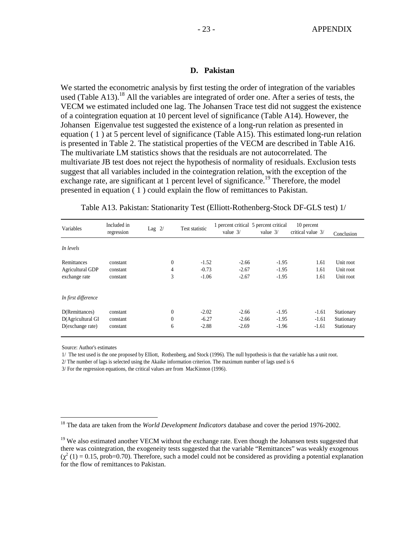#### **D. Pakistan**

We started the econometric analysis by first testing the order of integration of the variables used (Table A13).<sup>18</sup> All the variables are integrated of order one. After a series of tests, the VECM we estimated included one lag. The Johansen Trace test did not suggest the existence of a cointegration equation at 10 percent level of significance (Table A14). However, the Johansen Eigenvalue test suggested the existence of a long-run relation as presented in equation ( 1 ) at 5 percent level of significance (Table A15). This estimated long-run relation is presented in Table 2. The statistical properties of the VECM are described in Table A16. The multivariate LM statistics shows that the residuals are not autocorrelated. The multivariate JB test does not reject the hypothesis of normality of residuals. Exclusion tests suggest that all variables included in the cointegration relation, with the exception of the exchange rate, are significant at 1 percent level of significance.<sup>19</sup> Therefore, the model presented in equation ( 1 ) could explain the flow of remittances to Pakistan.

| Variables           | Included in<br>regression | Lag $2/$     | Test statistic | value $3/$ | 1 percent critical 5 percent critical<br>value $3/$ | 10 percent<br>critical value 3/ | Conclusion |
|---------------------|---------------------------|--------------|----------------|------------|-----------------------------------------------------|---------------------------------|------------|
| In levels           |                           |              |                |            |                                                     |                                 |            |
| Remittances         | constant                  | $\mathbf{0}$ | $-1.52$        | $-2.66$    | $-1.95$                                             | 1.61                            | Unit root  |
| Agricultural GDP    | constant                  | 4            | $-0.73$        | $-2.67$    | $-1.95$                                             | 1.61                            | Unit root  |
| exchange rate       | constant                  | 3            | $-1.06$        | $-2.67$    | $-1.95$                                             | 1.61                            | Unit root  |
| In first difference |                           |              |                |            |                                                     |                                 |            |
| D(Remittances)      | constant                  | $\mathbf{0}$ | $-2.02$        | $-2.66$    | $-1.95$                                             | $-1.61$                         | Stationary |
| D(Agricultural GI   | constant                  | $\mathbf{0}$ | $-6.27$        | $-2.66$    | $-1.95$                                             | $-1.61$                         | Stationary |
| D(exchange rate)    | constant                  | 6            | $-2.88$        | $-2.69$    | $-1.96$                                             | $-1.61$                         | Stationary |

Table A13. Pakistan: Stationarity Test (Elliott-Rothenberg-Stock DF-GLS test) 1/

Source: Author's estimates

1

1/ The test used is the one proposed by Elliott, Rothenberg, and Stock (1996). The null hypothesis is that the variable has a unit root.

2/ The number of lags is selected using the Akaike information criterion. The maximum number of lags used is 6

3/ For the regression equations, the critical values are from MacKinnon (1996).

<sup>18</sup> The data are taken from the *World Development Indicators* database and cover the period 1976-2002.

<sup>&</sup>lt;sup>19</sup> We also estimated another VECM without the exchange rate. Even though the Johansen tests suggested that there was cointegration, the exogeneity tests suggested that the variable "Remittances" was weakly exogenous  $(\chi^2(1) = 0.15$ , prob=0.70). Therefore, such a model could not be considered as providing a potential explanation for the flow of remittances to Pakistan.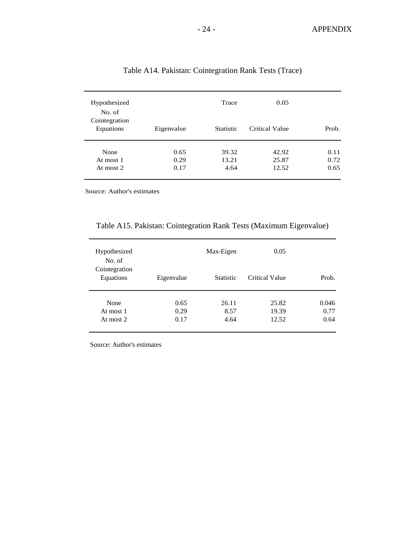| Hypothesized<br>No. of<br>Cointegration<br>Equations | Eigenvalue | Trace<br><b>Statistic</b> | 0.05<br>Critical Value | Prob. |
|------------------------------------------------------|------------|---------------------------|------------------------|-------|
| None                                                 | 0.65       | 39.32                     | 42.92                  | 0.11  |
| At most 1                                            | 0.29       | 13.21                     | 25.87                  | 0.72  |
| At most 2                                            | 0.17       | 4.64                      | 12.52                  | 0.65  |

### Table A14. Pakistan: Cointegration Rank Tests (Trace)

Source: Author's estimates

### Table A15. Pakistan: Cointegration Rank Tests (Maximum Eigenvalue)

| Hypothesized<br>No. of     |              | Max-Eigen        | 0.05           |               |
|----------------------------|--------------|------------------|----------------|---------------|
| Cointegration<br>Equations | Eigenvalue   | <b>Statistic</b> | Critical Value | Prob.         |
| None<br>At most 1          | 0.65<br>0.29 | 26.11<br>8.57    | 25.82<br>19.39 | 0.046<br>0.77 |
| At most 2                  | 0.17         | 4.64             | 12.52          | 0.64          |

Source: Author's estimates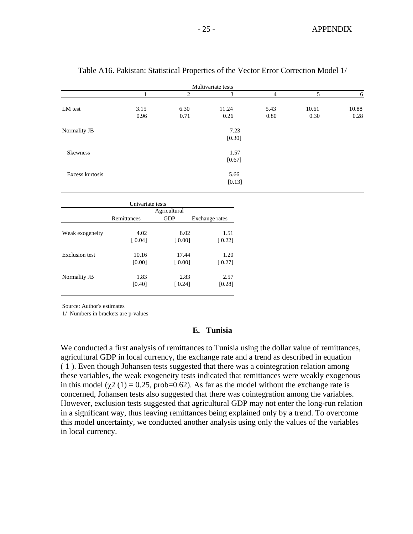|                 |                              |               | Multivariate tests |                |       |       |
|-----------------|------------------------------|---------------|--------------------|----------------|-------|-------|
|                 | 1                            | 2             | 3                  | $\overline{4}$ | 5     | 6     |
| LM test         | 3.15                         | 6.30          | 11.24              | 5.43           | 10.61 | 10.88 |
|                 | 0.96                         | 0.71          | 0.26               | 0.80           | 0.30  | 0.28  |
| Normality JB    |                              |               | 7.23               |                |       |       |
|                 |                              |               | [0.30]             |                |       |       |
| <b>Skewness</b> |                              |               | 1.57               |                |       |       |
|                 |                              |               | [0.67]             |                |       |       |
| Excess kurtosis |                              |               | 5.66               |                |       |       |
|                 |                              |               | [0.13]             |                |       |       |
|                 |                              |               |                    |                |       |       |
|                 | Univariate tests             |               |                    |                |       |       |
|                 |                              | Agricultural  |                    |                |       |       |
|                 | Remittances                  | <b>GDP</b>    | Exchange rates     |                |       |       |
| Weak exogeneity | 4.02                         | 8.02          | 1.51               |                |       |       |
|                 | $\Gamma$ $\Omega$ $\Omega$ 1 | <b>LO 001</b> | (0.22)             |                |       |       |

### Table A16. Pakistan: Statistical Properties of the Vector Error Correction Model 1/

|                       | Univariate tests |              |                |
|-----------------------|------------------|--------------|----------------|
|                       |                  | Agricultural |                |
|                       | Remittances      | <b>GDP</b>   | Exchange rates |
|                       |                  |              |                |
| Weak exogeneity       | 4.02             | 8.02         | 1.51           |
|                       | [0.04]           | [0.00]       | [0.22]         |
| <b>Exclusion test</b> | 10.16            | 17.44        | 1.20           |
|                       | [0.00]           | [0.00]       | [0.27]         |
| Normality JB          | 1.83             | 2.83         | 2.57           |
|                       | [0.40]           | [0.24]       | [0.28]         |
|                       |                  |              |                |

Source: Author's estimates

1/ Numbers in brackets are p-values

### **E. Tunisia**

We conducted a first analysis of remittances to Tunisia using the dollar value of remittances, agricultural GDP in local currency, the exchange rate and a trend as described in equation ( 1 ). Even though Johansen tests suggested that there was a cointegration relation among these variables, the weak exogeneity tests indicated that remittances were weakly exogenous in this model ( $\chi$ 2 (1) = 0.25, prob=0.62). As far as the model without the exchange rate is concerned, Johansen tests also suggested that there was cointegration among the variables. However, exclusion tests suggested that agricultural GDP may not enter the long-run relation in a significant way, thus leaving remittances being explained only by a trend. To overcome this model uncertainty, we conducted another analysis using only the values of the variables in local currency.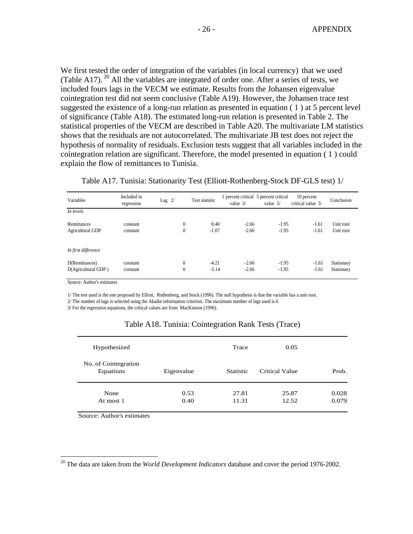We first tested the order of integration of the variables (in local currency) that we used (Table A17). <sup>20</sup> All the variables are integrated of order one. After a series of tests, we included fours lags in the VECM we estimate. Results from the Johansen eigenvalue cointegration test did not seem conclusive (Table A19). However, the Johansen trace test suggested the existence of a long-run relation as presented in equation ( 1 ) at 5 percent level of significance (Table A18). The estimated long-run relation is presented in Table 2. The statistical properties of the VECM are described in Table A20. The multivariate LM statistics shows that the residuals are not autocorrelated. The multivariate JB test does not reject the hypothesis of normality of residuals. Exclusion tests suggest that all variables included in the cointegration relation are significant. Therefore, the model presented in equation ( 1 ) could explain the flow of remittances to Tunisia.

| Table A17. Tunisia: Stationarity Test (Elliott-Rothenberg-Stock DF-GLS test) 1/ |  |
|---------------------------------------------------------------------------------|--|
|                                                                                 |  |

| Variables                             | Included in<br>regression | Lag $2/$                         | Test statistic     | value $3/$         | 1 percent critical 5 percent critical<br>value $3/$ | 10 percent<br>critical value 3/ | Conclusion               |
|---------------------------------------|---------------------------|----------------------------------|--------------------|--------------------|-----------------------------------------------------|---------------------------------|--------------------------|
| In levels                             |                           |                                  |                    |                    |                                                     |                                 |                          |
| Remittances<br>Agricultural GDP       | constant<br>constant      | $\overline{0}$<br>$\overline{0}$ | 0.40<br>$-1.07$    | $-2.66$<br>$-2.66$ | $-1.95$<br>$-1.95$                                  | $-1.61$<br>$-1.61$              | Unit root<br>Unit root   |
| In first difference                   |                           |                                  |                    |                    |                                                     |                                 |                          |
| D(Remittances)<br>D(Agricultural GDP) | constant<br>constant      | $\overline{0}$<br>$\overline{0}$ | $-4.21$<br>$-5.14$ | $-2.66$<br>$-2.66$ | $-1.95$<br>$-1.95$                                  | $-1.61$<br>$-1.61$              | Stationary<br>Stationary |

Source: Author's estimates

1/ The test used is the one proposed by Elliott, Rothenberg, and Stock (1996). The null hypothesis is that the variable has a unit root.

2/ The number of lags is selected using the Akaike information criterion. The maximum number of lags used is 6

3/ For the regression equations, the critical values are from MacKinnon (1996).

|  |  | Table A18. Tunisia: Cointegration Rank Tests (Trace) |  |  |  |
|--|--|------------------------------------------------------|--|--|--|
|--|--|------------------------------------------------------|--|--|--|

| Hypothesized                      |              | Trace            | 0.05           |                |
|-----------------------------------|--------------|------------------|----------------|----------------|
| No. of Cointegration<br>Equations | Eigenvalue   | <b>Statistic</b> | Critical Value | Prob.          |
| None<br>At most 1                 | 0.53<br>0.40 | 27.81<br>11.31   | 25.87<br>12.52 | 0.028<br>0.079 |

Source: Author's estimates

 $\overline{a}$ 

<sup>20</sup> The data are taken from the *World Development Indicators* database and cover the period 1976-2002.